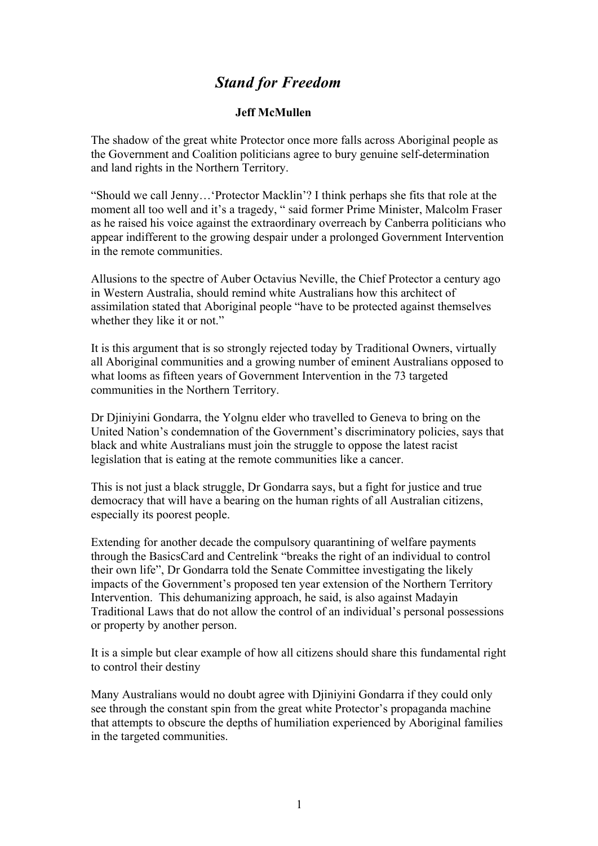## *Stand for Freedom*

## **Jeff McMullen**

The shadow of the great white Protector once more falls across Aboriginal people as the Government and Coalition politicians agree to bury genuine self-determination and land rights in the Northern Territory.

"Should we call Jenny…'Protector Macklin'? I think perhaps she fits that role at the moment all too well and it's a tragedy, " said former Prime Minister, Malcolm Fraser as he raised his voice against the extraordinary overreach by Canberra politicians who appear indifferent to the growing despair under a prolonged Government Intervention in the remote communities.

Allusions to the spectre of Auber Octavius Neville, the Chief Protector a century ago in Western Australia, should remind white Australians how this architect of assimilation stated that Aboriginal people "have to be protected against themselves whether they like it or not."

It is this argument that is so strongly rejected today by Traditional Owners, virtually all Aboriginal communities and a growing number of eminent Australians opposed to what looms as fifteen years of Government Intervention in the 73 targeted communities in the Northern Territory.

Dr Djiniyini Gondarra, the Yolgnu elder who travelled to Geneva to bring on the United Nation's condemnation of the Government's discriminatory policies, says that black and white Australians must join the struggle to oppose the latest racist legislation that is eating at the remote communities like a cancer.

This is not just a black struggle, Dr Gondarra says, but a fight for justice and true democracy that will have a bearing on the human rights of all Australian citizens, especially its poorest people.

Extending for another decade the compulsory quarantining of welfare payments through the BasicsCard and Centrelink "breaks the right of an individual to control their own life", Dr Gondarra told the Senate Committee investigating the likely impacts of the Government's proposed ten year extension of the Northern Territory Intervention. This dehumanizing approach, he said, is also against Madayin Traditional Laws that do not allow the control of an individual's personal possessions or property by another person.

It is a simple but clear example of how all citizens should share this fundamental right to control their destiny

Many Australians would no doubt agree with Djiniyini Gondarra if they could only see through the constant spin from the great white Protector's propaganda machine that attempts to obscure the depths of humiliation experienced by Aboriginal families in the targeted communities.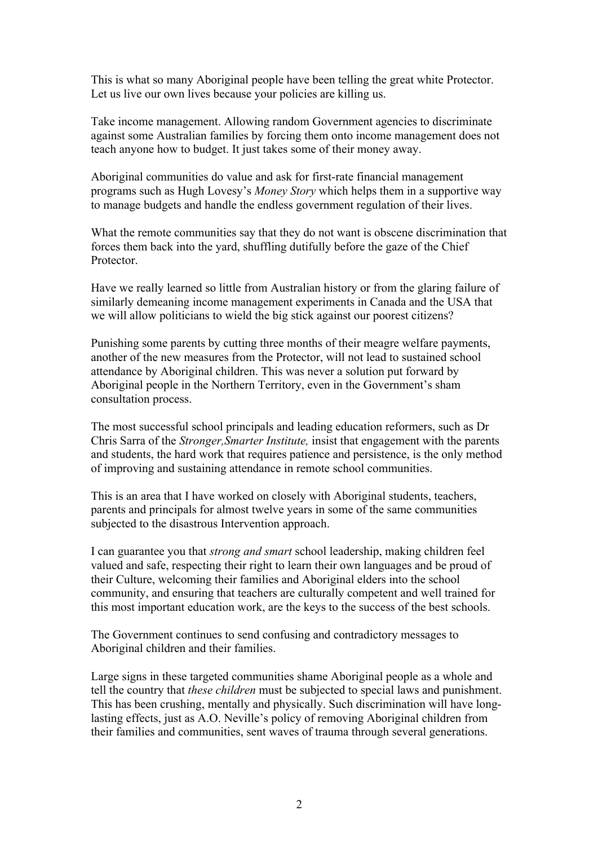This is what so many Aboriginal people have been telling the great white Protector. Let us live our own lives because your policies are killing us.

Take income management. Allowing random Government agencies to discriminate against some Australian families by forcing them onto income management does not teach anyone how to budget. It just takes some of their money away.

Aboriginal communities do value and ask for first-rate financial management programs such as Hugh Lovesy's *Money Story* which helps them in a supportive way to manage budgets and handle the endless government regulation of their lives.

What the remote communities say that they do not want is obscene discrimination that forces them back into the yard, shuffling dutifully before the gaze of the Chief **Protector** 

Have we really learned so little from Australian history or from the glaring failure of similarly demeaning income management experiments in Canada and the USA that we will allow politicians to wield the big stick against our poorest citizens?

Punishing some parents by cutting three months of their meagre welfare payments, another of the new measures from the Protector, will not lead to sustained school attendance by Aboriginal children. This was never a solution put forward by Aboriginal people in the Northern Territory, even in the Government's sham consultation process.

The most successful school principals and leading education reformers, such as Dr Chris Sarra of the *Stronger,Smarter Institute,* insist that engagement with the parents and students, the hard work that requires patience and persistence, is the only method of improving and sustaining attendance in remote school communities.

This is an area that I have worked on closely with Aboriginal students, teachers, parents and principals for almost twelve years in some of the same communities subjected to the disastrous Intervention approach.

I can guarantee you that *strong and smart* school leadership, making children feel valued and safe, respecting their right to learn their own languages and be proud of their Culture, welcoming their families and Aboriginal elders into the school community, and ensuring that teachers are culturally competent and well trained for this most important education work, are the keys to the success of the best schools.

The Government continues to send confusing and contradictory messages to Aboriginal children and their families.

Large signs in these targeted communities shame Aboriginal people as a whole and tell the country that *these children* must be subjected to special laws and punishment. This has been crushing, mentally and physically. Such discrimination will have longlasting effects, just as A.O. Neville's policy of removing Aboriginal children from their families and communities, sent waves of trauma through several generations.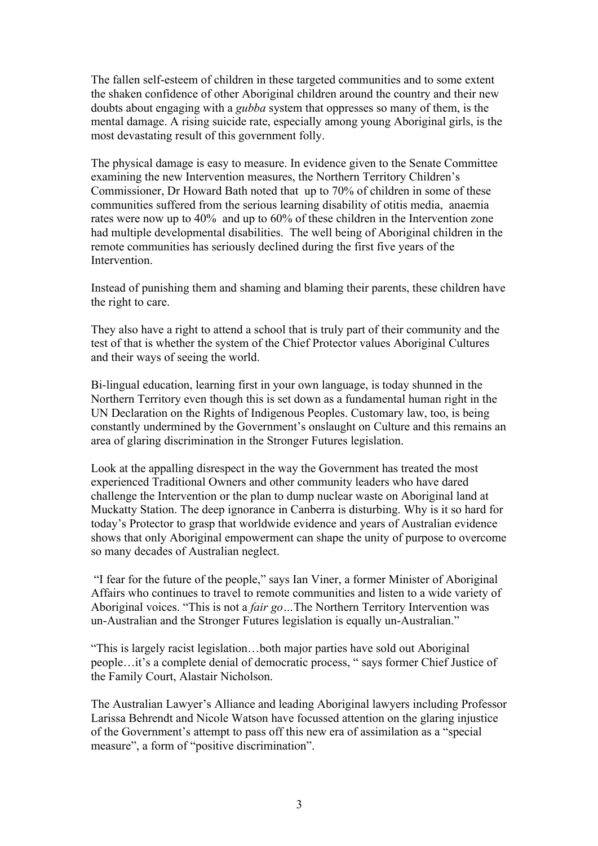The fallen self-esteem of children in these targeted communities and to some extent the shaken confidence of other Aboriginal children around the country and their new doubts about engaging with a *gubba* system that oppresses so many of them, is the mental damage. A rising suicide rate, especially among young Aboriginal girls, is the most devastating result of this government folly.

The physical damage is easy to measure. In evidence given to the Senate Committee examining the new Intervention measures, the Northern Territory Children's Commissioner, Dr Howard Bath noted that up to 70% of children in some of these communities suffered from the serious learning disability of otitis media, anaemia rates were now up to 40% and up to 60% of these children in the Intervention zone had multiple developmental disabilities. The well being of Aboriginal children in the remote communities has seriously declined during the first five years of the **Intervention** 

Instead of punishing them and shaming and blaming their parents, these children have the right to care.

They also have a right to attend a school that is truly part of their community and the test of that is whether the system of the Chief Protector values Aboriginal Cultures and their ways of seeing the world.

Bi-lingual education, learning first in your own language, is today shunned in the Northern Territory even though this is set down as a fundamental human right in the UN Declaration on the Rights of Indigenous Peoples. Customary law, too, is being constantly undermined by the Government's onslaught on Culture and this remains an area of glaring discrimination in the Stronger Futures legislation.

Look at the appalling disrespect in the way the Government has treated the most experienced Traditional Owners and other community leaders who have dared challenge the Intervention or the plan to dump nuclear waste on Aboriginal land at Muckatty Station. The deep ignorance in Canberra is disturbing. Why is it so hard for today's Protector to grasp that worldwide evidence and years of Australian evidence shows that only Aboriginal empowerment can shape the unity of purpose to overcome so many decades of Australian neglect.

"I fear for the future of the people," says Ian Viner, a former Minister of Aboriginal Affairs who continues to travel to remote communities and listen to a wide variety of Aboriginal voices. "This is not a *fair go…*The Northern Territory Intervention was un-Australian and the Stronger Futures legislation is equally un-Australian."

"This is largely racist legislation…both major parties have sold out Aboriginal people…it's a complete denial of democratic process, " says former Chief Justice of the Family Court, Alastair Nicholson.

The Australian Lawyer's Alliance and leading Aboriginal lawyers including Professor Larissa Behrendt and Nicole Watson have focussed attention on the glaring injustice of the Government's attempt to pass off this new era of assimilation as a "special measure", a form of "positive discrimination".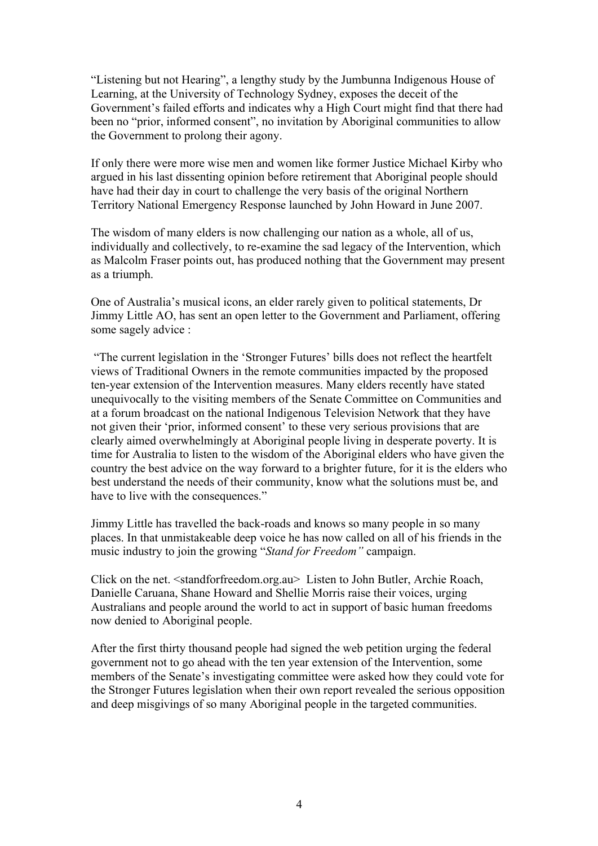"Listening but not Hearing", a lengthy study by the Jumbunna Indigenous House of Learning, at the University of Technology Sydney, exposes the deceit of the Government's failed efforts and indicates why a High Court might find that there had been no "prior, informed consent", no invitation by Aboriginal communities to allow the Government to prolong their agony.

If only there were more wise men and women like former Justice Michael Kirby who argued in his last dissenting opinion before retirement that Aboriginal people should have had their day in court to challenge the very basis of the original Northern Territory National Emergency Response launched by John Howard in June 2007.

The wisdom of many elders is now challenging our nation as a whole, all of us, individually and collectively, to re-examine the sad legacy of the Intervention, which as Malcolm Fraser points out, has produced nothing that the Government may present as a triumph.

One of Australia's musical icons, an elder rarely given to political statements, Dr Jimmy Little AO, has sent an open letter to the Government and Parliament, offering some sagely advice :

"The current legislation in the 'Stronger Futures' bills does not reflect the heartfelt views of Traditional Owners in the remote communities impacted by the proposed ten-year extension of the Intervention measures. Many elders recently have stated unequivocally to the visiting members of the Senate Committee on Communities and at a forum broadcast on the national Indigenous Television Network that they have not given their 'prior, informed consent' to these very serious provisions that are clearly aimed overwhelmingly at Aboriginal people living in desperate poverty. It is time for Australia to listen to the wisdom of the Aboriginal elders who have given the country the best advice on the way forward to a brighter future, for it is the elders who best understand the needs of their community, know what the solutions must be, and have to live with the consequences."

Jimmy Little has travelled the back-roads and knows so many people in so many places. In that unmistakeable deep voice he has now called on all of his friends in the music industry to join the growing "*Stand for Freedom"* campaign.

Click on the net. <standforfreedom.org.au> Listen to John Butler, Archie Roach, Danielle Caruana, Shane Howard and Shellie Morris raise their voices, urging Australians and people around the world to act in support of basic human freedoms now denied to Aboriginal people.

After the first thirty thousand people had signed the web petition urging the federal government not to go ahead with the ten year extension of the Intervention, some members of the Senate's investigating committee were asked how they could vote for the Stronger Futures legislation when their own report revealed the serious opposition and deep misgivings of so many Aboriginal people in the targeted communities.